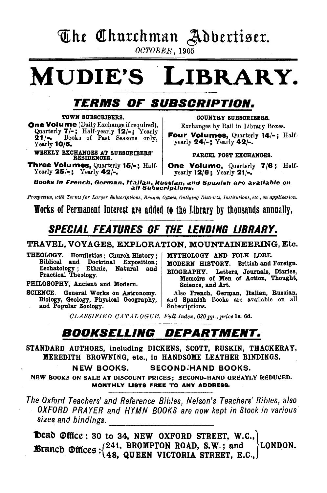## The Churchman Adbertiser.

OCTOBER, 1905

## MUDIE'S LIBRARY.

### TERMS OF SUBSCRIPTION.

#### TOWN SUBSCRIBERS.

One Volume (Daily Exchange if required), Quarterly 7/-; Half-yearly 12/-; Yearly 21/-.  $\frac{\dot{2}1}{\text{Yearly}}$  10/6.

WEEKLY EXCHANGES AT SUBSCRIBERS' RESIDENCES.

Three Volumes, Quarterly 15/-; Half-Yearly  $25/-$ ; Yearly  $42/-$ .

COUNTRY SUBSCRIBERS.

Exchanges by Rail in Library Boxes.

Four Volumes, Quarterly 14/-; Halfyearly 24/-; Yearly 42/-.

PARCEL POST EXCHANGES.

One Volume, Quarterly 7/6; Halfyearly 12/6; Yearly 21/-.

Books in French, German, Italian, Russian, and Spanish are available on<br>all Subscriptions.

*Prospectus, with Terms for Larger Subscriptions, Branch Offices, Outlying Districts, lnstitutions, etc., on application.* 

Works of Permanent Interest are added to the Library by thousands annually.

## SPECIAL FEATURES OF THE LENDING LIBRARY.

#### TRAVEL, VOYAGES, EXPLORATION, MOUNTAINEERING, Etc.

THEOLOGY. Homiletics; Church History; MYTHOLOGY AND FOLK LORE.<br>Biblical and Doctrinal Exposition; MODERN HISTORY. British and Biblical and Doctrinal Exposition; MODERN HISTORY. British and Foreign.<br>Eschatology; Ethnic, Natural and prography Latter Lemmals Diaries.

PHILOSOPHY, Ancient and Modern. | Science, and Art.

SCIENCE. General Works on Astronomy. Also French, German, Italian, Russian, Biology, Geology, Physical Geography, and Spanish Books are available on all Biology, Geology, Physical Geography, and Spanish and Popular Zoology.

Eschatology; Ethnic, Natural and BIOGRAPHY. Letters, Journals, Diaries, Practical Theology. Memoirs of Men of Action, Thought,

*OL.ASSIFIED OAT .AL OGUE, Full Index, 620 pp., price* ls. Gd.

### BOOKSELLING DEPARTMENT.

STANDARD AUTHORS, including DICKENS, SCOTT, RUSKIN, THACKERAY, MEREDITH BROWNING, etc., in HANDSOME LEATHER BINDINGS.

NEW BOOKS. SECOND~HAND BOOKS.

NEW BOOKS ON SALE AT DISCOUNT PRICES; SECOND-HAND GREATLY REDUCED. MONTHLY LISTS FREE TO ANY ADDRESS.

The Oxford Teachers' and Reference Bibles, Nelson's Teachers' Bibles, also OXFORD PRAYER and HYMN BOOKS are now kept in Stock in various sizes and bindings. \_\_\_\_\_\_\_\_\_\_ \_

**Deab**  $\mathcal{Q}$ **ffice: 30 to 34, NEW OXFORD STREET, W.C., Branch @ffices**  $\cdot$  (241, BROMPTON ROAD, S.W.; and \LONDON. ' 48, QUEEN VICTORIA STREET, E.C.,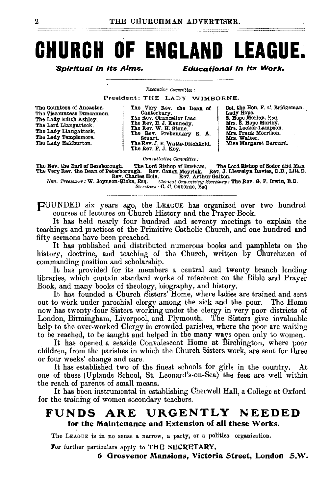## **CHURCH OF ENGLAND LEAGUE.**

Spirituai in Its Aims. **Educational in Its Work.** 

*Executive Committee :* 

President: THE LADY WIMBORNE.

The Countess of Anoaster. The Vlsoountess Duncannon. The Lady Edith Ashley. The Lord Llangattock. The Lady Llangattock. The Lady Templemore. The Lady Haliburton.

The Very Rev. the Dean of Canterbury. The Rev. Chancellor Lias. The Rev. E. J. Kennedy. The Rev. W. H. Stone. The Rev. Prebendary E. A. Stuart. The Rev. J. E. Watts-Ditcbfield. The Rev. F. J. Key. Col. the Hon. F. C. Bridgeman.<br>Lady Hope.<br>S. Hope Morley, Esq. Mrs. S. Hope Morley.<br>Mrs. Locker-Lampson. Mrs. Frank Morrison. Mrs. Walter. Miss Margaret Bernard.

*Consultative Committee :* 

The Rev. the Earl of Bessborough. The Lord Bishop of Durham. The Lord Bishop of Sodor and Man<br>The Very Rev. the Dean of Peterborough. Rev. Canon Meyrick. Rev. J. Llewelyn Davies, D.D., Litt.D.<br>Hon. Treasurer: W. Joynson-Hi

*/Secretary:* 0. 0. Osborne, Esq.

FOUNDED six years ago, the LEAGUE has organized over two hundred courses of lectures on Church History and the Prayer-Book.

It has held nearly four hundred and seventy meetings to explain the teachings and practices of the Primitive Catholic Church, and one hundred and fifty sermons have been preached.

It has published and distributed numerous books and pamphlets on the history, doctrine, and teaching of the Church, written by Churchmen of commanding position and scholarship.

It has provided for its members a central and twenty branch lending libraries, which contain standard works of reference on the Bible and Prayer Book, and many books of theology, biography, and history.

It has founded a Church Sisters' Home, where ladies are trained and sent out to work under parochial clergy among the sick and the poor. The Home now has twenty-four Sisters working under the clergy in very poor districts of London, Birmingham, Liverpool, and Plymouth. The Sisters give invaluable help to the over-worked Clergy in crowded parishes, where the poor are waiting to be reached, to be taught and helped in the many ways open only to women.

. It has opened a seaside Convalescent Home at Birchington, where poor children, from the parishes in which the Church Sisters work, are sent for three or four weeks' change and care.

It has established two of the finest schools for girls in the country. At one of these (Uplands School, St. Leonard's-on-Sea) the fees are well within the reach of parents of small means.

It has been instrumental in establishing Cherwell Hall, a College at Oxford for the training of women secondary teachers.

#### FUNDS ARE URGENTLY NEEDED for the Maintenance and Extension of all these Works.

The LEAGUE is in no sense a narrow, a party, or a politica organization.

For further particulars apply to THE SECRETARY,

*6* Orosvenor Mansions, Victoria Street, London S.W.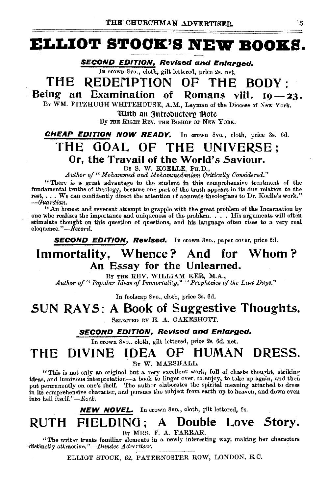## **ELLIOT STOOK.'S NEW BOOKS.**

**SECOND EDITION, Revised and Enlarged.** 

In crown 8vo., cloth, gilt lettered, price 2s. net.

### **THE** ~EDEMPTION **OF THE BODY·**

**Being an Examination of Romans viii. 19-23.** BY WM. FITZHUGH WHITEHOUSE, A.M., Layman of the Diocese of New York.

'With an 3ntroductory flote

By THE RIGHT REV. THE BISHOP OF NEW YORK.

**CHEAP EDITION NOW READY.** In crown Svo., cloth, price 3s. 6d.

## **THE GOAL OF THE UNIVERSE**  Or, the Travail of the World's Saviour.<br>**BY S. W. KOELLE, PH.D.**,

Author of " Mohammed and Mohammedanism Critically Considered."

"There is a great advantage to the student in this comprehensive treatment of the fundamental truths of theology, because one part of the truth appears in its due relation to the rest, ... We can confidently direct the attention of accurate theologians to Dr. Koelle's work." *-Guardian.* 

"An honest and reverent attempt to grapple with the great problem of the Incarnation by one who realizes the importance and uniqueness of the problem. . . • His arguments will often stimulate thought on this question of questions, and his language often rises to a very real eloquence."-*Record.* 

**SECOND EDITION, Revised.** In crown 8vo., paper cover, price 6d.

#### **Immortality, Whence? And for Whom** ? **An Essay for the Unlearned.**

BY THE REV. WILLIAM KER, M.A., *Author of" Popular Ideas of lmmortatity," "Prophecies of the Last Days.''* 

In foolscap Svo., cloth, price 3s. 6d.

#### **SUN RAYS: A Book of Suggestive Thoughts.**

SELECTED BY E. A. OAKESHOTT.

#### **SECOND EDITION, Revised and Enlarged.**

In crown 8vo., cloth, gilt lettered, price 2s. 6d. net.

## **THE DIVINE IDEA OF HUMAN DRESS.**

Br W. MARSHALL.

"This is not only an original but a very excellent work, full of chaste thought, striking ideas, and luminous interpretation-a book to linger over, to enjoy, to take up again, and then put permanently on one's shelf. The author elaborates the spirital meaning attached to dress in its comprehensive character, and pursues the subject from earth up to heaven, and down even into hell itself."-Rock.

**NEW NOVEL.** In crown 8vo., cloth, gilt lettered, 6s.

## **RUTH FIELDING; A Double Love Story.**

BY MRS. F. A. FARRAR.

"The writer treats familiar elements in a newly interesting way, making her characters distinctly attractive."-Dundee Advertiser.

ELLIOT STOCK, 62, PATERNOSTER ROW, LONDON, E.C.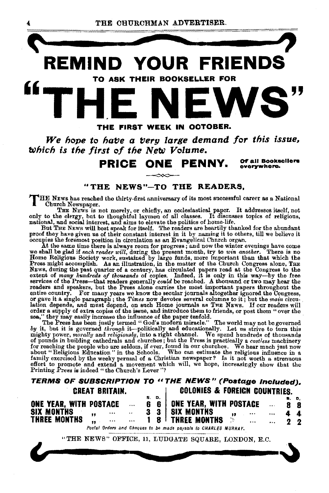

We hope to have a very large demand for this issue, *b* $\psi$ *hich is the first of the New Volume.* 

**PRICE ONE PENNY.** Of all Booksellers

**GYGI'lfWhere.** 

**2 2** 

#### **"THE NEWS "-TO THE READERS,**

THE NEws has reached the thirty-first anniversary of its most successful career as a National Church Newspaper.

The Newspaper.<br>The News is not merely, or chiefly, an ecclesiastical paper. It addresses itself, not<br>only to the clergy, but to thoughtful laymen of all classes. It discusses topics of religious,<br>national, and social inter

proof they have given us of their constant interest in it by naming it to others, till we believe it

occupies the foremost position in circulation as an Evangelical Church organ.<br>At the same time there is always room for progress; and now the winter evenings have come<br>we shall be glad if each reader will, during the pres

sea," they may easily increase the influence of the paper tenfold.<br>The Press has been justly increase the influence of the paper tenfold.<br>The world may not be governed by it, but it is governed through it—politically and

#### **TERMS OF SUBSCRIPTION TO** *u* **THE NEWS" (Poatage Included). CHEAT BRITAIN. COLONIES & FOREIGN COUNTRIES. ONE YEAR, WITH POSTAGE**  S. D. **ONE YEAR, WITH POSTAGE S, D, 8 8**

**6 6 SIX MONTHS** , **3 3 SIX MONTHS 4.**, ,<br>THREE MONTHS 2. **4 4**   $\sim$   $\sim$ **THREE MONTHS** " **1 8**   $\ddotsc$  $\ddot{\phantom{a}}$ 

Postal Orders and Cheques to bo made payable to CHARLES MURRAY.

"THE NEWS" OFFICE, 11, LUDGATE SQUARE, LONDON, E.C. nd Cheques to be made payable to CHARLES MURRAY.<br>FICE, 11, LUDGATE SQUARE, LONDON, E.C.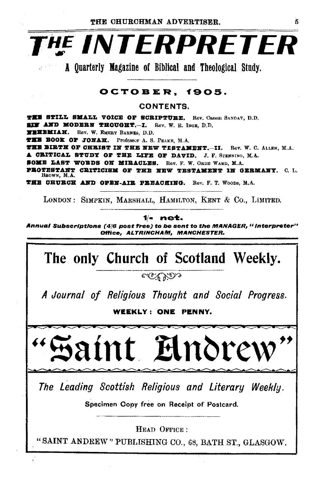

A Quarterly Magazine of Biblical and Theological Study.

#### OCTOBER, 1905.

CONTENTS.

THE STILL SMALL VOICE OF SCRIPTURE. Rev. Canon SANDAY, D.D. SIN AND MODERN THOUGHT.--I. Rev. W. R. INGE. D.D. **WERRMIAH.** Rev. W. EMERY BARNES, D.D. THE BOOK OF JONAH. Professor A. S. PEAKE, M.A. THE BIRTH OF CHRIST IN THE NEW TESTAMENT.-II. Rev. W. C. ALLEN, M.A. **A CEITICAL STUDY OF THE LIFE OF DAVID.** J. F. STENNING, M.A. SOME LAST WORDS ON MIRACLES. Rev. F. W. ORDE WARD, M.A. PROTESTANT CRITICISM OF THE NEW TESTAMENT IN GEBMANY. C. L. BROWN, M.A. THE CHURCH AND OPEN-AIR PREACHING. Rev. F. T. Woops, M.A.

LONDON: SIMPKIN, MARSHALL, HAMILTON, KENT & CO., LIMITED.

1/- I net.

Annual Subscriptions (4/6 post free) to be sent to the MANAGER, " Interpreter" Office, ALTRINCHAM, MANCHESTER.



The Leading Scottish Religious and Literary Weekly.

Specimen Copy free on Receipt of Postcard.

HEAD OFFICE:

"SAINT ANDREW" PUBLISHING CO., 68, BATH ST., GLASGOW.

š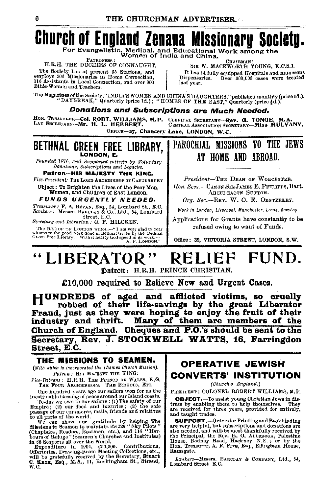#### **Church of England Zenana Missionary** Societu.

For Evangelistic, Medical, and Educational Work among the<br>Women of India and China.

**PATRONESS** H.R.H. THE DUCHESS OF CONNAUGHT.

The Society has at present 65 Stations, and<br>employs 206 Missionaries in Home Connection, 116 Assistants in Local Connection, and over 900 Bible-Women and Teachers.

SIR W. MACKWORTH YOUNG, K.C.S.I. It has 14 fully equipped Hospitals and numerous Dispensaries. Over 300,000 cases were treated last year.

The Magazines of the Scoiety, "INDIA'S WOMEN AND CHINA'S DAUGHTERS," published monthly (price 1d.).<br>"DAYBREAK," Quarterly (price 1d.); "HOMES OF THE EAST," Quarterly (price 4d.).

#### Donations and Subscriptions are Much Needed.

HON. TREASURER-Col. ROBT. WILLIAMS, M.P.<br>LAY SECRETARY-Mr. H. L. HEBBERT. CLERICAL SECRETARY-Rev. G. TONGE. CENTRAL ASSOCIATION SECRETARY-MISS MULVANY.

OFFICE-27, Chancery Lane, LONDON, W.C.

#### BETHNAL CREEN FREE LIBRARY, LONDON, E.

Founded 1876, and Supported entirely by Foluntary Donations, Subscriptions and Legacies.

Patron-HIS MAJESTY THE KING.

Vice-President: THE LORD ARCHBISHOP OF CANTERBURY Object: To Brighten the Lives of the Poor Men,

Women, and Children of East London. FUNDS URGENTLY NEEDED.

Treasurer: F. A. BEVAN, Esq., 54, Lombard St., E.C.<br>Bankers: Messrs. BARCLAY & Co., Ltd., 54, Lombard Street, E.C.

Secretary and Librarian; G. F. HILCKEN.

Statement of the BISHOP of The BISHOP of the BISHOP of the BISHOP of the PISHOP of the Statement of the Statement of the Statement Green Free Library. Wish it hearty God-speed in its work.—

#### PAROCHIAL MISSIONS TO THE JEWS AT HOME AND ABROAD.

President-THE DEAN OF WORCESTER. Hon. Secs.-CANON SIR JAMES E. PHILIPPS. Bart. ARCHDEACON SUTTON.

Org. Sec.-REV. W. O. E. OESTERLEY.

Work in London, Liverpool, Manchester, Leeds, Bombay.

Applications for Grants have constantly to be refused owing to want of Funds.

Office: 39. VICTORIA STREET, LONDON, S.W.

#### " LIBERATOR " FUND.

Datron: H.R.H. PRINCE CHRISTIAN.

£10,000 required to Relieve New and Urgent Cases.

HUNDREDS of aged and afflicted victims, so cruelly robbed of their life-savings by the great Liberator Fraud, just as they were hoping to enjoy the fruit of their industry and thrift. Many of them are members of the Church of England. Cheques and P.O.'s should be sent to the Secretary, Rev. J. STOCKWELL WATTS, 16, Farringdon Street, E.C.

#### THE MISSIONS TO SEAMEN.

(With which is incorporated the Thames Church Mission). Patron: HIS MAJESTY THE KING:

Vice-Patrons: H.R.H. THE PRINCE OF WALES, K.G. THE FOUR ARCHBISHOPS. THE BISHOPS, ETC.

One hundred years ago our sailors won for us the inestimable blessing of peace around our Island coasts. and the same of our sailors : (1) The safety of our Empire; (2) our food and luxuries; (8) the safety of our Empire; (2) our food and luxuries; (8) the safe

passage of our commerce, mails, friends and relatives<br>to all parts of the world. The community of the same show our gratitude by helping The<br>Missions to Seamen to maintain its 220 '8ky Pilots'<br>(Chaplaios, Readors, Boatmen, W.C.

#### **OPERATIVE JEWISH CONVERTS' INSTITUTION**

(Church o England.)

PRESIDENT : COLONEL ROBERT WILLIAMS, M.P.

**OBJECT.** To assist young Christian Jews in distress by enabling them to help themselves. They are received for three years, provided for entirely, and taught trades.

**SUPPORT.**-Orders for Printing and Bookbinding are very helpful, but subscriptions and donations are<br>also needed, and will be most thankfully received by also necessary and when we also the Principal, the Rev. H. O. ALLEBOOK, Palestine House, Bodney Road, Hackney, N.E.; or by the Hon. Treasurer, A. R. Prrs, Esq., Effingham House, Ramsgate.

Bankers-Messrs. BARCLAY & COMPANY, Ltd., 54, Lombard Street E.C.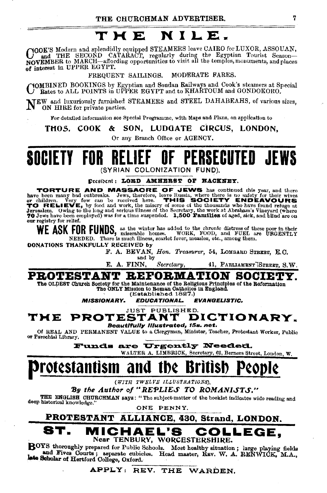#### **THE NILE.**

COOK'S Modern and splendidly equipped STEAMERS leave CAIRO for LUXOR, ASSOUAN,<br>NOVEMBER to MARCH—affording opportunities to visit all the temples, monuments, and places of interest in UPPER EGYPT.

FREQUENT SAILINGS. MODERATE FARES.

 $\rm C^{OMBINED}$  BOOKINGS by Egyptian and Soudan Railways and Cook's steamers at Special Rates to ALL POINTS in UPPER EGYPT and to  $\tt KHAKTOUM$  and  $\rm GONDOKORO.$ 

 $N_{\rm SN}$  and luxuriously furnished STEAMERS and STEEL DAHABEAHS, of various sizes,

For detailed information see Special Programme, with Maps and Plans, on application to

THOS. COOK & SON, LUDGATE CIRCUS, LONDON,

Or any Branch Office or AGENCY.

## **SOCIETY FOR RELIEF OF PERSECUTED JEWS**  (SYRIAN COLONIZATION FUND).

Dreathent: LOBD AMHERST OF HACKNEY.

TORTURE AND MASSACRE OF JEWS has continued this year, and there have been many bad outbreaks. Jews, therefore, leave Russia, where there is no safety for their wives or children. Very few can be received here. THIS SOCIETY ENDEAVOURS or chuaren. Very lew can be received inter. ITO SOULLEY TO RELIEVE at Jerusalem.<br>To RELIEVE, by food and work, the misery of some of the thousands who have found refuge at<br>Jerusalem. Owing to the long and serious illness o 70 Jews have been employed) was for a time suspended. 1,500 Families of aged, sick, and blind are on our registry for relief.

WE ASK FOR FUNDS, as the winter has added to the chronic distress of these poor in their<br>wORK, FOOD, and FUEL are URGENTLY NEEDED. There is much illness, scarlet fever, measles, etc., among them.

DONATIONS THANKFULLY RECEIVED by

F. A. BEVAN, *Han. Treasurer,* 54, LoMBARD STREET, E.O. and by

E. A. FINN, *Secretary*, 41, PARLIAMENT STREET, S.W.

**PROTESTANT BEFOBMATION SOCIETY.** 

The OLDEST Ohuroh Society for the Maintenance of the Religious Principles of the Reformation<br>
The ONLY Mission to Republished 1897.)<br>
WISSIONARY. EDUCATIONAL. EVANGELISTIC.

*MISSIONARY. EDUCATIONAL. EVANGEUSTIC.* 

JUST PUBLISHED.<br>**STANT DICTIONARY.** THE PROTESTANT Beautlf'UIIy Illustrated, t5s. net.

Of REAL AND PERMANENT VALUE to a Clergyman, Minister, 'reacher, Protestant Worker, Public or Parochial Library.

Funds are Urgently Needed.

WALTER A. LIMBRICK, Secretary, 62, Berners Street, London, W.

## **prot¢stanttsm ana tb¢ Brtttsb P¢opl¢**

*(WITH 1'WELVE ILLUSTRATIONS),* 

By the Author of "REPLIES TO ROMANISTS."

THE ENGLISH CHURCHMAN says: "The subject-matter of the booklet indicates wide reading and deep historical knowledge."

ONE PENNY.

PROTESTANT ALLIANCE, 430, Strand, LONDON.

#### **ST. MICHAEL'S COLLEGE**  Near TENBURY, WORCESTERSHIRE.

BOYS thoroughly prepared for Public Schools. Most healthy situation; large playing fields and Fives Courts; separate cubicles. Head master, REV. W. A. RENWIOK, M.A., head Scholar of Hertford College, Oxford.

APPLY: REV. THE WARDEN.